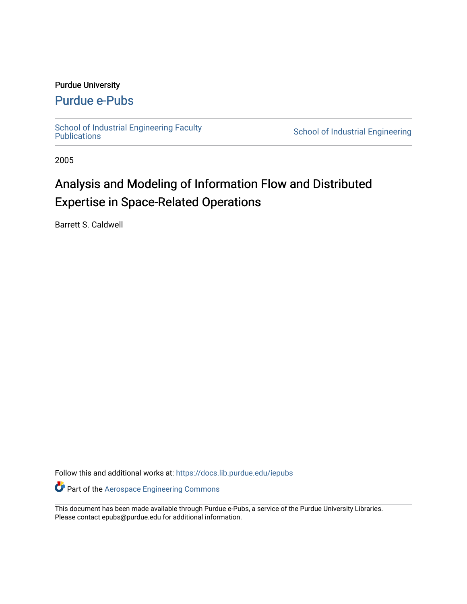### Purdue University

# [Purdue e-Pubs](https://docs.lib.purdue.edu/)

School of Industrial Engineering Faculty<br>Publications

School of Industrial Engineering

2005

# Analysis and Modeling of Information Flow and Distributed Expertise in Space-Related Operations

Barrett S. Caldwell

Follow this and additional works at: [https://docs.lib.purdue.edu/iepubs](https://docs.lib.purdue.edu/iepubs?utm_source=docs.lib.purdue.edu%2Fiepubs%2F4&utm_medium=PDF&utm_campaign=PDFCoverPages)

**Part of the [Aerospace Engineering Commons](http://network.bepress.com/hgg/discipline/218?utm_source=docs.lib.purdue.edu%2Fiepubs%2F4&utm_medium=PDF&utm_campaign=PDFCoverPages)** 

This document has been made available through Purdue e-Pubs, a service of the Purdue University Libraries. Please contact epubs@purdue.edu for additional information.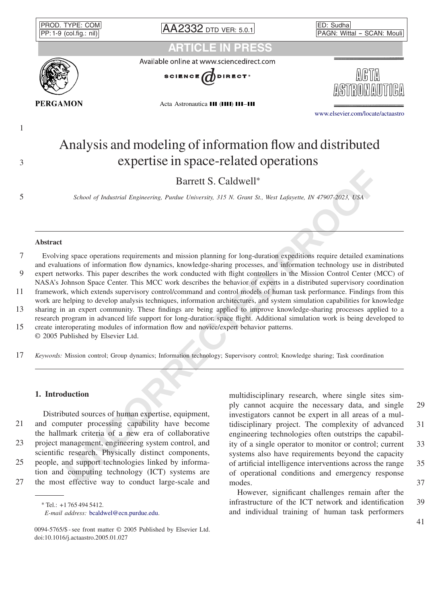| PROD. TYPE: COM<br>$\overline{PP: 1-9$ (col.fig.: nil) | AA2332 DTD VER: 5.0.1                                                                   | ED: Sudha<br>PAGN: Wittal - SCAN: Mouli |
|--------------------------------------------------------|-----------------------------------------------------------------------------------------|-----------------------------------------|
|                                                        | <b>ARTICLE IN PRESS</b>                                                                 |                                         |
|                                                        | Available online at www.sciencedirect.com<br>SCIENCE $\overline{d}$ DIRECT <sup>®</sup> | ASTRONATION                             |
| <b>PERGAMON</b>                                        | Acta Astronautica III (IIII) III-III                                                    | www.elsevier.com/locate/actaastro       |

# Analysis and modeling of information flow and distributed expertise in space-related operations

Barrett S. Caldwell ∗

*School of Industrial Engineering, Purdue University, 315 N. Grant St., West Lafayette, IN 47907-2023, USA*

### **Abstract**

1<br>3<br>5

5

3

 $\mathbf{1}$ 

**Example 18 Barrett S. Caldwell<sup>\*</sup><br>
Barrett S. Caldwell<sup>\*</sup><br>** *Renering, Purdue University, 315 N. Grant St., West Lafayette, IN 47907-2023, USA***<br>
<b>Proportion**, knowledge-sharing processes, and information technology use in  $\tau$ 7<br>9 Evolving space operations requirements and mission planning for long-duration expeditions require detailed examinations and evaluations of information flow dynamics, kno wledge-sharing processes, and information technology use in distributed  $\overline{Q}$ expert networks. This paper describes the work conducted with flight controllers in the Mission Control Center (MCC) of

- 11 NASA's Johnson Space Center. This MCC work describes the behavior of experts in a distributed supervisory coordination framework, which extends supervisory control/command and control models of human task performance. Findings from this work are helping to develop analysis techniques, information architectures, and system simulation capabilities for knowledge and with flight controllers in<br>tribes the behavior of experts in<br>and and control models of human<br>mation architectures, and system<br>being applied to improve know<br>uration space flight. Additional<br>d novice/expert behavior patt
- 13 sharing in an expert community. These findings are being applied to improve knowledge-sharing processes applied to a research program in advanced life support for long-duration space flight. Additional simulation work is being developed to
- 15 create interoperating modules of information flow and novice/expert behavior patterns.

© 2005 Published by Elsevier Ltd.

17 Keywords: Mission control; Group dynamics; Information technology; Supervisory control; Knowledge sharing; Task coordination

### **1. Intr oduction**

**[U](mailto:bcaldwel@ecn.purdue.edu)NDEREVIOR EXECUTE:**<br>
UNDEREVIOR THE PROCESSING THE PROPORTING THE PROCESSING THE PROCESSING THE PROPORTING THE PROPORTING SUPPORTING THE PROPORTING THE PROPORTING THE PROPORTING THE PROPORTING THE PROPORTING THE PROPORTI Distributed sources of human expertise, equipment, and computer processing capability have become the hallmark criteria of a new era of collaborative project management, engineering system control, and 21 23

scientific research. Physically distinct components, people, and support technologies linked by information and computing technology (ICT) systems are 25

the most effective way to conduct large-scale and 27

∗ Tel.: +1 765 494 5412.

*E-mail address:* bcaldwel@ecn.purdue.edu .

multidisciplinary research, where single sites simply cannot acquire the necessary data, and single investigators cannot be expert in all areas of a multidisciplinary project. The complexity of advanced engineering technologies often outstrips the capability of a single operator to monitor or control; current systems also have requirements beyond the capacity of artificial intelligence interventions across the range of operational conditions and emergency response modes. 29 31 33 35 37

However, significant challenges remain after the infrastructure of the ICT network and identification and individual training of human task performers 39

<sup>0094-5765/\$</sup> - see front matter © 2005 Published by Elsevier Ltd. doi:10.1016/j.actaastro.2005.01.027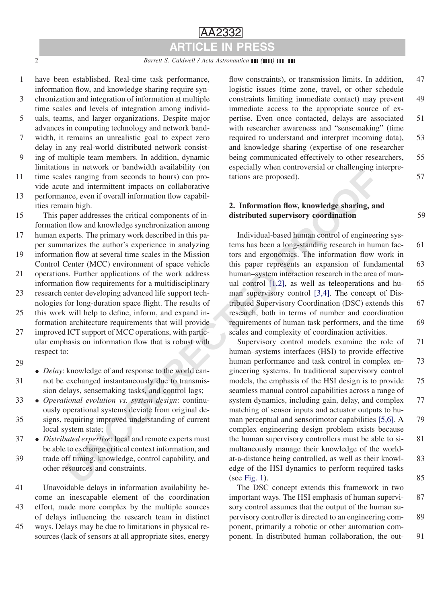### AA2332

# ARTICLE IN PRESS

#### *Barrett S. Caldwell* / *Acta Astronautica (III) (IIII) III-III*

1 3 have been established. Real-time task performance, nformation flow, and knowledge sharing require syn-i hronization and integration of information at multiple c

5 time scales and levels of integration among individuals, teams, and larger organizations. Despite major

- 7 dvances in computing technology and network band-a width, it remains an unrealistic goal to expect zero
- 9 delay in any real-world distributed network consisting of multiple team members. In addition, dynamic imitations in network or bandwidth availability (on l
- 11 time scales ranging from seconds to hours) can provide acute and intermittent impacts on collaborative
- 13 performance, even if overall information flow capabilities remain high.
- 15 This paper addresses the critical components of information flow and knowledge synchronization among
- 17 human experts. The primary work described in this paper summarizes the author's experience in analyzing
- 19 nformation flow at several time scales in the Mission i Control Center (MCC) environment of space vehicle
- 21 perations. Further applications of the work address o nformation flow requirements for a multidisciplinary i
- 23 research center developing advanced life support technologies for long-duration space flight. The results of
- 25 this work will help to define, inform, and expand information architecture requirements that will provide
- 27 improved ICT support of MCC operations, with particular emphasis on information flow that is robust with respect to:
- 29

2

- 31 • *Delay*: knowledge of and response to the world cannot be exchanged instantaneously due to transmission delays, sensemaking tasks, and control lags;
- 33 35 hasis on information flow that is robust with<br>
2:<br>
U.S. knowledge of and response to the world can-<br>
exchanged instantaneously due to transmis-<br>
elays, sensemaking tasks, and control lags;<br> *U.S. Sensemaking tasks*, and co *Operational evolution vs. system design*: continu-• ously operational systems deviate from original designs, requiring improved understanding of current local system state;
- 37 39 *Distributed expertise*: local and remote experts must • be able to exchange critical context information, and trade off timing, knowledge, control capability, and other resources and constraints.

41 43 Unavoidable delays in information availability become an inescapable element of the coordination ffort, made more complex by the multiple sources e

- 45 of delays influencing the research team in distinct ways. Delays may be due to limitations in physical re-
- sources (lack of sensors at all appropriate sites, energy

flow constraints), or transmission limits. In addition, logistic issues (time zone, travel, or other schedule constraints limiting immediate contact) may prevent immediate access to the appropriate source of expertise. Even once contacted, delays are associated with researcher awareness and "sensemaking" (time required to understand and interpret incoming data), and knowledge sharing (expertise of one researcher being communicated effectively to other researchers, especially when controversial or challenging interpretations are proposed). 47 49 51 53 55 57

### **2. Information flow, knowledge sharing, and distributed supervisory coordination**

59

Fraction Specially when controversial of chancinging incertations are proposed).<br>
antive<br>
abil-<br>
abil-<br> **CT**<br>
abitibuted supervisory coordination<br>
nong<br>
s pa-<br>
Individual-based human control of engineering<br>
tems has been a Individual-based human co<br>tems has been a long-standing<br>tors and ergonomics. The in<br>this paper represents an ex<br>human-system interaction res<br>ual control [1,2], as well as<br>man supervisory control [3,4]<br>tributed Supervisory Individual-based human control of engineering systems has been a long-standing research in human factors and ergonomics. The information flow work in this paper represents an expansion of fundamental human–system interaction research in the area of manual control [1,2], as well as teleoperations and human supervisory control [3,4]. The concept of Distributed Supervisory Coordination (DSC) extends this research, both in terms of number and coordination requirements of human task performers, and the time scales and complexity of coordination activities. 61 63 65 67 69

Supervisory control models examine the role of human–systems interfaces (HSI) to provide effective human performance and task control in complex engineering systems. In traditional supervisory control models, the emphasis of the HSI design is to provide seamless manual control capabilities across a range of system dynamics, including gain, delay, and complex matching of sensor inputs and actuator outputs to human perceptual and sensorimotor capabilities [5,6]. A complex engineering design problem exists because the [human](#page-3-0) supervisory controllers must be able to simultaneously manage their knowledge of the worldat-a-distance being controlled, as well as their knowledge of the HSI dynamics to perform required tasks (see Fig. 1). 71 73 75 77 79 81 83 85

The DSC concept extends this framework in two important ways. The HSI emphasis of human supervisory control assumes that the output of the human supervisory controller is directed to an engineering component, primarily a robotic or other automation component. In distributed human collaboration, the out-87 89 91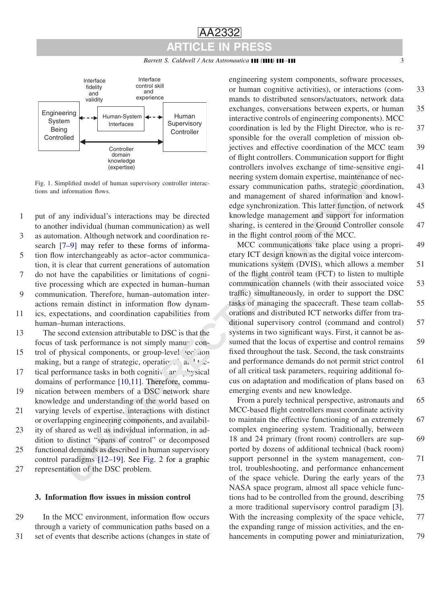#### *Barrett S. Caldwell* / *Acta Astronautica (III) (IIII) III-III*

<span id="page-3-0"></span>

Fig. 1. Simplified model of human supervisory controller interactions and information flows.

1 put of any individual's interactions may be directed to another individual (human communication) as well as automation. Although network and coordination research [7–9] may refer to these forms of information flow interchangeably as actor–actor communica-3 5

tion, it is clear that current generations of automation do not have the capabilities or limitations of cogni-7

tive processing which are expected in human–human communication. Therefore, human–automation inter-9

actions remain distinct in information flow dynamics, expectations, and coordination capabilities from 11

human–human interactions.

The second extension attributable to DSC is that the focus of task performance is not simply manual con-13

trol of physical components, or group-level decision making, but a range of strategic, operational,  $\alpha$ ,  $\alpha$ ,  $\alpha$ tical performance tasks in both cognitive and physical focus of task performance is not simply manu<sup>7</sup>. control of physical components, or group-level 'er' sion making, but a range of strategic, operation  $\lambda$ , a. ' $\lambda$  - stical performance tasks in both cognitive are  $\lambda$  - 15 17

domains of performance [10,11]. Therefore, communication between members of a DSC network share 19

knowledge and understanding of the world based on varying levels of expertise, interactions with distinct 21

or overlapping engineering components, and availability of shared as well as individual information, in ad-23

dition to distinct "spans of control" or decomposed functional demands as described in human supervisory 25

control paradigms [12–19]. See Fig. 2 for a graphic representation of the DSC problem. 27

### **3. Information flow issues in mission control**

In the MCC environment, information flow occurs through a variety of communication paths based on a 29

set of events that describe actions (changes in state of 31

engineering system components, software processes, or human cognitive activities), or interactions (com- 33 mands to distributed sensors/actuators, network data exchanges, conversations between experts, or human 35 interactive controls of engineering components). MCC coordination is led by the Flight Director, who is re- 37 sponsible for the overall completion of mission objectives and effective coordination of the MCC team 39 of flight controllers. Communication support for flight controllers involves exchange of time-sensitive engi- 41 neering system domain expertise, maintenance of necessary communication paths, strategic coordination, 43 and management of shared information and knowledge synchronization. This latter function, of network 45 knowledge management and support for information sharing, is centered in the Ground Controller console 47 in the flight control room of the MCC.

3

plified model of human supervisory controlls internal metring system domain expertise, maintenance of metring system domain expertise, maintenance of metring system domain expertise, maintenance of same controllation and h MCC communications take place using a propri- 49 etary ICT design known as the digital voice intercommunications system (DVIS), which allows a member 51 of the flight control team (FCT) to listen to multiple communication channels (with their associated voice 53 traffic) simultaneously, in order to support the DSC tasks of managing the spacecraft. These team collab- 55 orations and distributed ICT networks differ from traditional supervisory control (command and control) 57 systems in two significant ways. First, it cannot be assumed that the locus of expertise and control remains 59 fixed throughout the task. Second, the task constraints and performance demands do not permit strict control 61 of all critical task parameters, requiring additional focus on adaptation and modification of plans based on 63 emerging events and new knowledge.

From a purely technical perspective, astronauts and 65 MCC-based flight controllers must coordinate activity to maintain the effective functioning of an extremely 67 complex engineering system. Traditionally, between 18 and 24 primary (front room) controllers are sup- 69 ported by dozens of additional technical (back room) support personnel in the system management, con-<br>
71 trol, troubleshooting, and performance enhance[ment](#page-8-0) of the space vehicle. During the early years of the 73 NASA space program, almost all space vehicle functions had to be controlled from the ground, describing 75 a more traditional supervisory control paradigm [3]. With the increasing complexity of the space vehicle, 77 the expanding range of mission activities, and the enhancements in computing power and miniaturization, 79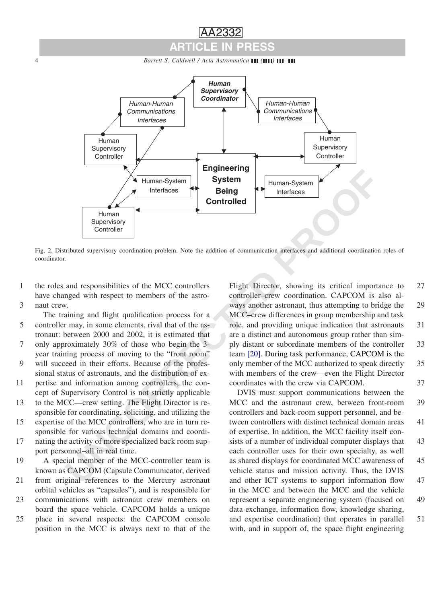<span id="page-4-0"></span>

Fig. 2. Distributed supervisory coordination problem. Note the addition of communication interfaces and additional coordination roles of coordinator.

1 the roles and responsibilities of the MCC controllers have changed with respect to members of the astronaut crew. 3

The training and flight qualification process for a controller may, in some elements, rival that of the as-5

- tronaut: between 2000 and 2002, it is estimated that only approximately 30% of those who begin the 3 year training process of moving to the "front room" 7
- will succeed in their efforts. Because of the professional status of astronauts, and the distribution of ex-9
- pertise and information among controllers, the concept of Supervisory Control is not strictly applicable 11
- to the MCC—crew setting. The Flight Director is responsible for coordinating, soliciting, and utilizing the 13
- expertise of the MCC controllers, who are in turn responsible for various technical domains and coordinating the activity of more specialized back room support personnel–all in real time. 15 17

only approximately 30% of those who begin the 3-<br>year training process of moving to the "front room"<br>will succeed in their efforts. Because of the profes-<br>sional status of astronauts, and the distribution of ex-<br>pertise an A special member of the MCC-controller team is known as CAPCOM (Capsule Communicator, derived from original references to the Mercury astronaut 21

orbital vehicles as "capsules"), and is responsible for communications with astronaut crew members on board the space vehicle. CAPCOM holds a unique 23

position in the MCC is always next to that of the

Flight Director, showing its critical importance to controller–crew coordination. CAPCOM is also always another astronaut, thus attempting to bridge the MCC–crew differences in group membership and task role, and providing unique indication that astronauts are a distinct and autonomous group rather than simply distant or subordinate members of the controller team [20]. During task performance, CAPCOM is the only member of the MCC authorized to speak directly with members of the crew—even the Flight Director coordinates with the crew via CAPCOM. 27 29 31 33 35 37

25 place in several respects: the CAPCOM console and expertise coordination) that operates in parallel 51 DVIS must support communications between the MCC and the astronaut crew, between front-room controllers and back-room support personnel, and between controllers with distinct technical domain areas of expertise. In addition, the MCC facility itself consists of a number of individual computer displays that each controller uses for their own specialty, as well 19 A special member of the MCC-controller team is as shared displays for coordinated MCC awareness of 45 vehicle status and mission activity. Thus, the DVIS and other ICT systems to support information flow in the MCC and between the MCC and the vehicle represent a separate engineering system (focused on data exchange, information flow, knowledge sharing, and expertise coordination) that operates in parallel with, and in support of, the space flight engineering 39 41 43 47 49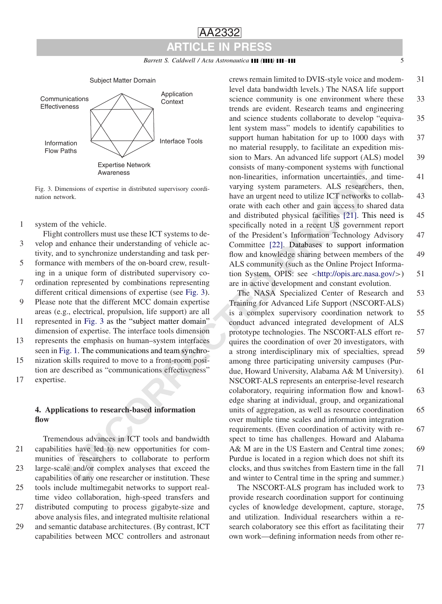#### *Barrett S. Caldwell* / *Acta Astronautica (III) (IIII) III-III*

Subject Matter Domain



Fig. 3. Dimensions of expertise in distributed supervisory coordination network.

1 system of the vehicle.

Flight controllers must use these ICT systems to de-3 velop and enhance their understanding of vehicle ac-

- tivity, and to synchronize understanding and task per-5 formance with members of the on-board crew, result-
- ing in a unique form of distributed supervisory co-7 ordination represented by combinations representing different critical dimensions of expertise (see Fig. 3).

9 Please note that the different MCC domain expertise areas (e.g., electrical, propulsion, life support) are all

- 11 represented in Fig. 3 as the "subject matter domain" dimension of expertise. The interface tools dimension
- 13 represents the emphasis on human–system interfaces seen in Fig. 1. The communications and team synchro-
- 15 nization skills required to move to a front-room position are described as "communications effectiveness" 17 expertise.
	- **4. Applications to research-based information flow**

Tremendous advances in ICT tools and bandwidth 21 capabilities have led to new opportunities for communities of researchers to collaborate to perform 23 large-scale and/or complex analyses that exceed the capabilities of any one researcher or institution. These 25 tools include multimegabit networks to support realtime video collaboration, high-speed transfers and 27 distributed computing to process gigabyte-size and

above analysis files, and integrated multisite relational 29 and semantic database architectures. (By contrast, ICT

capabilities between MCC controllers and astronaut

crews remain limited to DVIS-style voice and modem- 31 level data bandwidth levels.) The NASA life support science community is one environment where these 33 trends are evident. Research teams and engineering and science students collaborate to develop "equiva- 35 lent system mass" models to identify capabilities to support human habitation for up to 1000 days with 37 no material resupply, to facilitate an expedition mission to Mars. An advanced life support (ALS) model 39 consists of many-component systems with functional non-linearities, information uncertainties, and time- 41 varying system parameters. ALS researchers, then, have an urgent need to utilize ICT networks to collab- 43 orate with each other and gain access to shared data and distributed physical facilities [21]. This need is 45 specifically noted in a recent US government report of the President's Information Technology Advisory 47 Committee [22]. Databases to support information flow and knowledge sharing between members of the 49 ALS community (such as the Online Project Information System, OPIS: see <http://opis.arc.nasa.gov/>) 51 are in active development and constant evolution.

5

**EXECTE: EXECTE: EXECTE: EXECTE: EXECTE: EXECTE: EXECTE: EXECTE: EXECTE (C**) **COND**<br> **EXECTE TO THE SECTE IN THE SECTE IN THE SECTE INTERFERING TO THE SECTED THE SECTED AND MONET ON THE SECTED P[RO](http://opis.arc.nasa.gov/)PERTIES** The NASA Specialized Center of Research and 53 Training for Advanced Life Support (NSCORT-ALS) is a complex supervisory coordination network to 55 conduct advanced integrated development of ALS prototype technologies. The NSCORT-ALS effort re- 57 quires the coordination of over 20 investigators, with a strong interdisciplinary mix of specialties, spread 59 among three participating university campuses (Purdue, Howard University, Alabama A& M University). 61 NSCORT-ALS represents an enterprise-level research colaboratory, requiring information flow and knowl- 63 edge sharing at individual, group, and organizational units of aggregation, as well as resource coordination 65 over multiple time scales and information integration requirements. (Even coordination of activity with re- 67 spect to time has challenges. Howard and Alabama A& M are in the US Eastern and Central time zones; 69 Purdue is located in a region which does not shift its clocks, and thus switches from Eastern time in the fall 71 and winter to Central time in the spring and summer.)

The NSCORT-ALS program has included work to 73 provide research coordination support for continuing cycles of knowledge development, capture, storage, 75 and utilization. Individual researchers within a research colaboratory see this effort as facilitating their 77 own work—defining information needs from other re-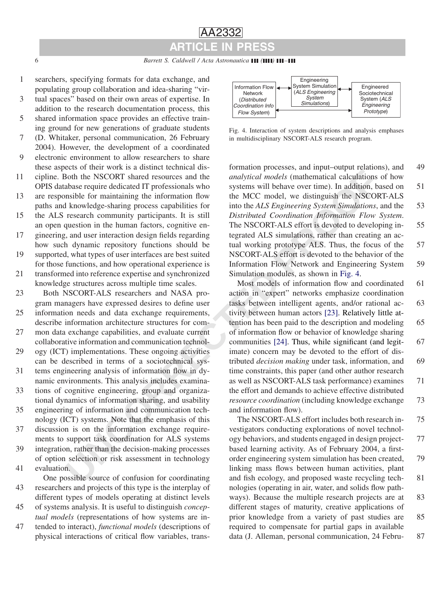*Barrett S. Caldwell / Acta Astronautica ( ) –* Ill I Ill Ill Ill

1 searchers, specifying formats for data exchange, and populating group collaboration and idea-sharing "virtual spaces" based on their own areas of expertise. In addition to the research documentation process, this shared information space provides an effective train-3 5

6

- ing ground for new generations of graduate students (D. Whitaker, personal communication, 26 February 2004). However, the development of a coordinated 7
- electronic environment to allow researchers to share these aspects of their work is a distinct technical dis-9
- cipline. Both the NSCORT shared resources and the OPIS database require dedicated IT professionals who 11
- are responsible for maintaining the information flow paths and knowledge-sharing process capabilities for 13
- the ALS research community participants. It is still an open question in the human factors, cognitive en-15
- gineering, and user interaction design fields regarding how such dynamic repository functions should be 17
- supported, what types of user interfaces are best suited for those functions, and how operational experience is transformed into reference expertise and synchronized 19 21
- knowledge structures across multiple time scales.
- Both NSCORT-ALS researchers and NASA program managers have expressed desires to define user 23
- information needs and data exchange requirements, describe information architecture structures for common data exchange capabilities, and evaluate current 25 27
- collaborative information and communication technology (ICT) implementations. These ongoing activities 29
- can be described in terms of a sociotechnical systems engineering analysis of information flow in dynamic environments. This analysis includes examina-31
- tions of cognitive engineering, group and organizational dynamics of information sharing, and usability 33
- engineering of information and communication technology (ICT) systems. Note that the emphasis of this 35
- discussion is on the information exchange requirements to support task coordination for ALS systems 37
- The information and communication techno-<br>The implementations. These ongoing activities<br>lescribed in terms of a sociotechnical sys-<br>ineering analysis of information flow in dy-<br>vironments. This analysis includes examina-<br>c integration, rather than the decision-making processes of option selection or risk assessment in technology evaluation. 39 41
- One possible source of confusion for coordinating researchers and projects of this type is the interplay of 43
- different types of models operating at distinct levels of systems analysis. It is useful to distinguish *concep-*45
- *tual models* (representations of how systems are intended to interact), *functional models* (descriptions of physical interactions of critical flow variables, trans-47



Fig. 4. Interaction of system descriptions and analysis emphases in multidisciplinary NSCORT-ALS research program.

who<br>systems will behave over time). In addition, ba<br>flow<br>the MCC model, we distinguish the NSCOR<br>s for<br>into the *ALS Engineering System Simulations*,<br>still<br>*Distributed Coordination Information Flow*<br>s e en-<br>The NSCORT-ALS formation processes, and input-output relation<br>analytical models (mathematical calculations<br>systems will behave over time). In addition, ba<br>the MCC model, we distinguish the NSCOR<br>into the ALS Engineering System Simulation formation processes, and input–output relations), and *analytical models* (mathematical calculations of how systems will behave over time). In addition, based on the MCC model, we distinguish the NSCORT-ALS into the *ALS Engineering System Simulations*, and the *Distributed Coordination Information Flow System*. The NSCORT-ALS effort is devoted to developing integrated ALS simulations, rather than creating an actual working prototype ALS. Thus, the focus of the NSCORT-ALS effort is devoted to the behavior of the Information Flow Network and Engineering System Simulation modules, as shown in Fig. 4. 49 51 53 55 57 59

Most models of information flow and coordinated action in "expert" networks emphasize coordination tasks between intelligent agents, and/or rational activity between human actors [23]. Relatively little attention has been paid to the description and modeling of information flow or behavior of knowledge sharing communities [24]. Thus, while significant (and legitimate) concern may be devoted to the effort of distributed *decision making* under task, information, and time constraints, this paper (and other author research as well as NSCORT-ALS task performance) examines the effort and demands to achieve effective distributed *resource coordination* (including knowledge exchange and information flow). 61 63 65 67 69 71 73

The NSCORT-ALS effort includes both research investigators conducting explorations of novel technology behaviors, and students engaged in design projectbased learning activity. As of February 2004, a firstorder engineering system simulation has been created, linking mass flows between human activities, plant and fish ecology, and proposed waste recycling technologies (operating in air, water, and solids flow pathways). Because the multiple research projects are at different stages of maturity, creative applications of prior knowledge from a variety of past studies are required to compensate for partial gaps in available data (J. Alleman, personal communication, 24 Febru-75 77 79 81 83 85 87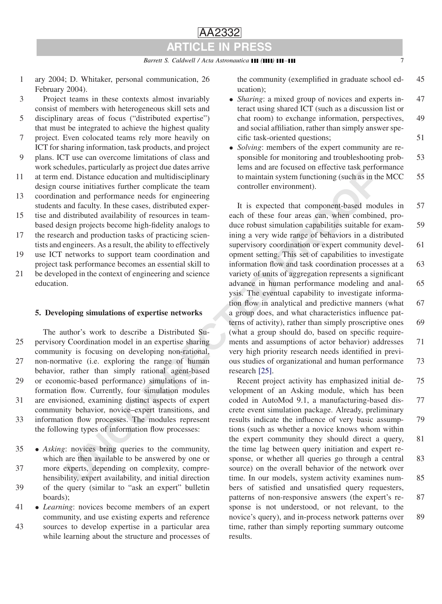### *Barrett S. Caldwell* / *Acta Astronautica (III) (IIII) III-III*

- 1 ary 2004; D. Whitaker, personal communication, 26 February 2004).
- Project teams in these contexts almost invariably consist of members with heterogeneous skill sets and disciplinary areas of focus ("distributed expertise") 3 5
- that must be integrated to achieve the highest quality project. Even colocated teams rely more heavily on 7
- ICT for sharing information, task products, and project plans. ICT use can overcome limitations of class and 9
- work schedules, particularly as project due dates arrive at term end. Distance education and multidisciplinary 11
- design course initiatives further complicate the team coordination and performance needs for engineering students and faculty. In these cases, distributed exper-13
- tise and distributed availability of resources in teambased design projects become high-fidelity analogs to 15
- the research and production tasks of practicing scientists and engineers. As a result, the ability to effectively 17
- use ICT networks to support team coordination and project task performance becomes an essential skill to 19
- be developed in the context of engineering and science education. 21

### **5. Developing simulations of expertise networks**

The author's work to describe a Distributed Su-Coordination model in an expertise sharing<br>ity is focusing on developing non-rational,<br>native (i.e. exploring the range of human<br>rather than simply rational agent-based<br>mic-based performance) simulations of in-<br>i flow. Cur pervisory Coordination model in an expertise sharing community is focusing on developing non-rational, non-normative (i.e. exploring the range of human behavior, rather than simply rational agent-based or economic-based performance) simulations of information flow. Currently, four simulation modules are envisioned, examining distinct aspects of expert 25 27 29 31

- community behavior, novice–expert transitions, and information flow processes. The modules represent 33
- the following types of information flow processes:
- *Asking*: novices bring queries to the community, which are then available to be answered by one or more experts, depending on complexity, comprehensibility, expert availability, and initial direction of the query (similar to "ask an expert" bulletin boards); 35 37 39
- *Learning*: novices become members of an expert community, and use existing experts and reference sources to develop expertise in a particular area while learning about the structure and processes of 41 43

the community (exemplified in graduate school education); 45

- *Sharing*: a mixed group of novices and experts interact using shared ICT (such as a discussion list or chat room) to exchange information, perspectives, and social affiliation, rather than simply answer specific task-oriented questions; 47 49 51
- *Solving*: members of the expert community are responsible for monitoring and troubleshooting problems and are focused on effective task performance to maintain system functioning (such as in the MCC controller environment). 53 55

ysis. The<br>
tion flow<br> **cEP is the contract of the contract of action**<br>
Su-<br>
(what a g ments and<br>
onal, very high Is and act located on entertive task performal<br>maintain system functioning (such as in the M<br>troller environment).<br>is expected that component-based module<br>of these four areas can, when combined,<br>robust simulation capabilit It is expected that component-based modules in each of these four areas can, when combined, produce robust simulation capabilities suitable for examining a very wide range of behaviors in a distributed supervisory coordination or expert community development setting. This set of capabilities to investigate information flow and task coordination processes at a variety of units of aggregation represents a significant advance in human performance modeling and analysis. The eventual capability to investigate information flow in analytical and predictive manners (what a group does, and what characteristics influence patterns of activity), rather than simply proscriptive ones (what a [group](#page-9-0) should do, based on specific requirements and assumptions of actor behavior) addresses very high priority research needs identified in previous studies of organizational and human performance research [25]. 57 59 61 63 65 67 69 71 73

> Recent project activity has emphasized initial development of an Asking module, which has been coded in AutoMod 9.1, a manufacturing-based discrete event simulation package. Already, preliminary results indicate the influence of very basic assumptions (such as whether a novice knows whom within the expert community they should direct a query, the time lag between query initiation and expert response, or whether all queries go through a central source) on the overall behavior of the network over time. In our models, system activity examines numbers of satisfied and unsatisfied query requesters, patterns of non-responsive answers (the expert's response is not understood, or not relevant, to the novice's query), and in-process network patterns over time, rather than simply reporting summary outcome results. 75 77 79 81 83 85 87 89

7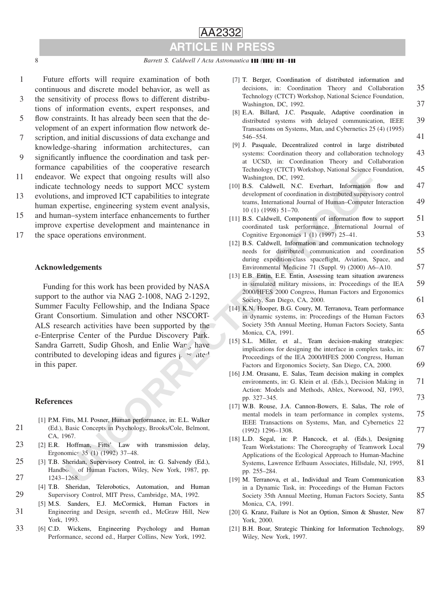#### *Barrett S. Caldwell* / *Acta Astronautica (111) (111) 111-111*

- <span id="page-8-0"></span>1 Future efforts will require examination of both continuous and discrete model behavior, as well as
- the sensitivity of process flows to different distributions of information events, expert responses, and 3
- flow constraints. It has already been seen that the development of an expert information flow network description, and initial discussions of data exchange and 5 7
- knowledge-sharing information architectures, can significantly influence the coordination and task per-9
- formance capabilities of the cooperative research endeavor. We expect that ongoing results will also 11
- indicate technology needs to support MCC system
- evolutions, and improved ICT capabilities to integrate human expertise, engineering system event analysis, 13
- and human–system interface enhancements to further improve expertise development and maintenance in 15
- the space operations environment. 17

### **Acknowledgements**

ASA<br>
1292,<br>
<sup>2000/H</sup><br>
Society.<br> **COVERENT SOCIETY**<br> **COVERENT SOCIETY**<br> **COVERENT SOCIETY**<br> **COVERENT SOCIETY**<br> **COVERENT SOCIETY**<br> **COVERENT SOCIETY**<br> **COVERENT SOCIETY**<br> **COVERENT SOCIETY**<br> **COVERENT SOCIETY**<br> **COVERENT** Funding for this work has been provided by NASA support to the author via NAG 2-1008, NAG 2-1292, Summer Faculty Fellowship, and the Indiana Space Grant Consortium. Simulation and other NSCORT-ALS research activities have been supported by the e-Enterprise Center of the Purdue Discovery Park. Sandra Garrett, Sudip Ghosh, and Enlie War  $\leq$  have contributed to developing ideas and figures  $\mu$ .  $\leq$  .nte<sup>-1</sup> in this paper. contributed to developing ideas and figures  $\mu$  of  $\mu$  of  $e^{-t}$ in this paper.

#### **References**

21

- [1] P.M. Fitts, M.I. Posner, Human performance, in: E.L. Walker (Ed.), Basic Concepts in Psychology, Brooks/Cole, Belmont, CA, 1967. **Example 10** developing ideas and rigures p.<br>
Per.<br>
Titts, M.I. Posner, Human performance, in: E.L. V<br>
Basic Concepts in Psychology, Brooks/Cole, Be<br>
967.<br>
Hoffman, Fitts' Law with transmission<br>
omic<sup>3</sup> 35 (1) (1992) 37–48
- [2] E.R. Hoffman, Fitts' Law with transmission delay, Ergonomic 35 (1) (1992) 37–48. 23
- [3] T.B. Sheridan, Supervisory Control, in: G. Salvendy (Ed.), Handboo of Human Factors, Wiley, New York, 1987, pp. 1243 –1268. 25 27
- [4] T.B. Sheridan, Telerobotics, Automation, and Human Supervisory Control, MIT Press, Cambridge, MA, 1992. 29
- [5] M.S. Sanders, E.J. McCormick, Human Factors in Engineering and Design, seventh ed., McGraw Hill, New York, 1993. 31
- [6] C.D. Wickens, Engineering Psychology and Human Performance, second ed., Harper Collins, New York, 1992. 33
- [7] T. Berger, Coordination of distributed information and decisions, in: Coordination Theory and Collaboration Technology (CTCT) Workshop, National Science Foundation, Washington, DC, 1992. 35 37
- [8] E.A. Billard, J.C. Pasquale, Adaptive coordination in distributed systems with delayed communication, IEEE Transactions on Systems, Man, and Cybernetics 25 (4) (1995) 546–554. 39 41
- [9] J. Pasquale, Decentralized control in large distributed systems: Coordination theory and collaboration technology at UCSD, in: Coordination Theory and Collaboration Technology (CTCT) Workshop, National Science Foundation, Washington, DC, 1992. 43 45
- [10] B.S. Caldwell, N.C. Everhart, Information flow and development of coordination in distributed supervisory control teams, International Journal of Human–Computer Interaction 10 (1) (1998) 51–70. 47 49
- [11] B.S. Caldwell, Components of information flow to support coordinated task performance, International Journal of Cognitive Ergonomics 1 (1) (1997) 25–41. 51 53
- Technology (CTCT) Workshop, National Science Found<br>Washington, DC, 1992.<br>[10] B.S. Caldwell, N.C. Everhart, Information flow<br>development of coordination in distributed supervisory c<br>teams, International Journal of Human-Co [12] B.S. Caldwell, Information and communication technology needs for distributed communication and coordination during expedition-class spaceflight, Aviation, Space, and Environmental Medicine 71 (Suppl. 9) (2000) A6–A10. 55 57
- [13] E.B. Entin, E.E. Entin, Assessing team situation awareness in simulated military missions, in: Proceedings of the IEA 2000/HFES 2000 Congress, Human Factors and Ergonomics Society, San Diego, CA, 2000. 59 61
- [14] K.N. Hooper, B.G. Coury, M. Terranova, Team performance in dynamic systems, in: Proceedings of the Human Factors Society 35th Annual Meeting, Human Factors Society, Santa Monica, CA, 1991. 63 65
- [15] S.L. Miller, et al., Team decision-making strategies: implications for designing the interface in complex tasks, in: Proceedings of the IEA 2000/HFES 2000 Congress, Human Factors and Ergonomics Society, San Diego, CA, 2000. 67 69
- [16] J.M. Orasanu, E. Salas, Team decision making in complex environments, in: G. Klein et al. (Eds.), Decision Making in Action: Models and Methods, Ablex, Norwood, NJ, 1993, pp. 327–345. 71 73
- [17] W.B. Rouse, J.A. Cannon-Bowers, E. Salas, The role of mental models in team performance in complex systems, IEEE Transactions on Systems, Man, and Cybernetics 22 (1992) 1296–1308. 75 77
- [18] L.D. Segal, in: P. Hancock, et al. (Eds.), Designing Team Workstations: The Choreography of Teamwork Local Applications of the Ecological Approach to Human-Machine Systems, Lawrence Erlbaum Associates, Hillsdale, NJ, 1995, pp. 255–284. 79 81
- [19] M. Terranova, et al., Individual and Team Communication in a Dynamic Task, in: Proceedings of the Human Factors Society 35th Annual Meeting, Human Factors Society, Santa Monica, CA, 1991. 83 85
- [20] G. Kranz, Failure is Not an Option, Simon & Shuster, New York, 2000. 87
- [21] B.H. Boar, Strategic Thinking for Information Technology, Wiley, New York, 1997. 89